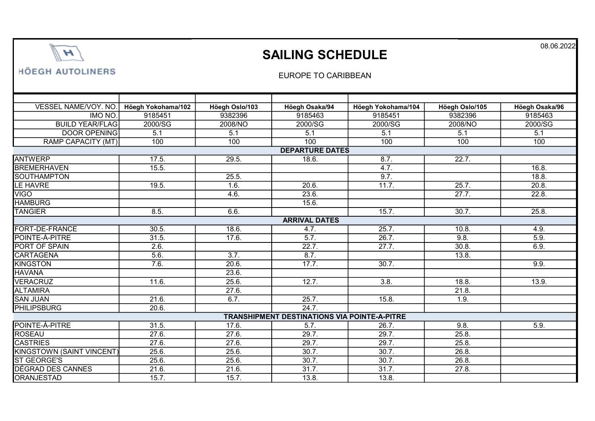

## SAILING SCHEDULE

**HÖEGH AUTOLINERS** 

## EUROPE TO CARIBBEAN

| VESSEL NAME/VOY. NO.                                | Höegh Yokohama/102 | Höegh Oslo/103 | Höegh Osaka/94 | Höegh Yokohama/104 | Höegh Oslo/105 | Höegh Osaka/96      |  |  |  |  |
|-----------------------------------------------------|--------------------|----------------|----------------|--------------------|----------------|---------------------|--|--|--|--|
| IMO NO.                                             | 9185451            | 9382396        | 9185463        | 9185451            | 9382396        | 9185463             |  |  |  |  |
| <b>BUILD YEAR/FLAG</b>                              | 2000/SG            | 2008/NO        | 2000/SG        | 2000/SG            | 2008/NO        | 2000/SG             |  |  |  |  |
| <b>DOOR OPENING</b>                                 | 5.1                | 5.1            | 5.1            | 5.1                | 5.1            | 5.1                 |  |  |  |  |
| RAMP CAPACITY (MT)                                  | 100                | 100            | 100            | 100                | 100            | 100                 |  |  |  |  |
| <b>DEPARTURE DATES</b>                              |                    |                |                |                    |                |                     |  |  |  |  |
| <b>ANTWERP</b>                                      | 17.5.              | 29.5.          | 18.6.          | 8.7.               | 22.7.          |                     |  |  |  |  |
| <b>BREMERHAVEN</b>                                  | 15.5.              |                |                | 4.7.               |                | 16.8.               |  |  |  |  |
| <b>SOUTHAMPTON</b>                                  |                    | 25.5.          |                | 9.7.               |                | 18.8.               |  |  |  |  |
| LE HAVRE                                            | 19.5.              | 1.6.           | 20.6.          | 11.7.              | 25.7.          | $\overline{20.8}$ . |  |  |  |  |
| <b>VIGO</b>                                         |                    | 4.6.           | 23.6.          |                    | 27.7.          | 22.8.               |  |  |  |  |
| <b>HAMBURG</b>                                      |                    |                | 15.6.          |                    |                |                     |  |  |  |  |
| <b>TANGIER</b>                                      | 8.5.               | 6.6.           |                | 15.7.              | 30.7.          | 25.8.               |  |  |  |  |
| <b>ARRIVAL DATES</b>                                |                    |                |                |                    |                |                     |  |  |  |  |
| FORT-DE-FRANCE                                      | 30.5.              | 18.6.          | 4.7.           | 25.7.              | 10.8.          | 4.9.                |  |  |  |  |
| POINTE-À-PITRE                                      | 31.5.              | 17.6.          | 5.7.           | 26.7.              | 9.8.           | 5.9.                |  |  |  |  |
| PORT OF SPAIN                                       | 2.6.               |                | 22.7.          | 27.7.              | 30.8.          | 6.9.                |  |  |  |  |
| <b>CARTAGENA</b>                                    | 5.6.               | 3.7.           | 8.7.           |                    | 13.8.          |                     |  |  |  |  |
| KINGSTON                                            | 7.6.               | 20.6           | 17.7.          | 30.7.              |                | 9.9.                |  |  |  |  |
| <b>HAVANA</b>                                       |                    | 23.6.          |                |                    |                |                     |  |  |  |  |
| <b>VERACRUZ</b>                                     | 11.6.              | 25.6.          | 12.7.          | 3.8.               | 18.8.          | 13.9.               |  |  |  |  |
| <b>ALTAMIRA</b>                                     |                    | 27.6.          |                |                    | 21.8.          |                     |  |  |  |  |
| <b>SAN JUAN</b>                                     | 21.6.              | 6.7.           | 25.7.          | 15.8.              | 1.9.           |                     |  |  |  |  |
| <b>PHILIPSBURG</b>                                  | 20.6.              |                | 24.7.          |                    |                |                     |  |  |  |  |
| <b>TRANSHIPMENT DESTINATIONS VIA POINTE-A-PITRE</b> |                    |                |                |                    |                |                     |  |  |  |  |
| POINTE-À-PITRE                                      | 31.5.              | 17.6.          | 5.7.           | 26.7.              | 9.8.           | 5.9.                |  |  |  |  |
| ROSEAU                                              | 27.6.              | 27.6.          | 29.7.          | 29.7.              | 25.8.          |                     |  |  |  |  |
| <b>CASTRIES</b>                                     | 27.6.              | 27.6.          | 29.7.          | 29.7.              | 25.8.          |                     |  |  |  |  |
| <b>KINGSTOWN (SAINT VINCENT)</b>                    | 25.6.              | 25.6.          | 30.7.          | 30.7.              | 26.8.          |                     |  |  |  |  |
| <b>ST GEORGE'S</b>                                  | 25.6.              | 25.6.          | 30.7.          | 30.7.              | 26.8.          |                     |  |  |  |  |
| DÉGRAD DES CANNES                                   | 21.6.              | 21.6.          | 31.7.          | 31.7.              | 27.8.          |                     |  |  |  |  |
| ORANJESTAD                                          | 15.7.              | 15.7.          | 13.8.          | 13.8.              |                |                     |  |  |  |  |

08.06.2022